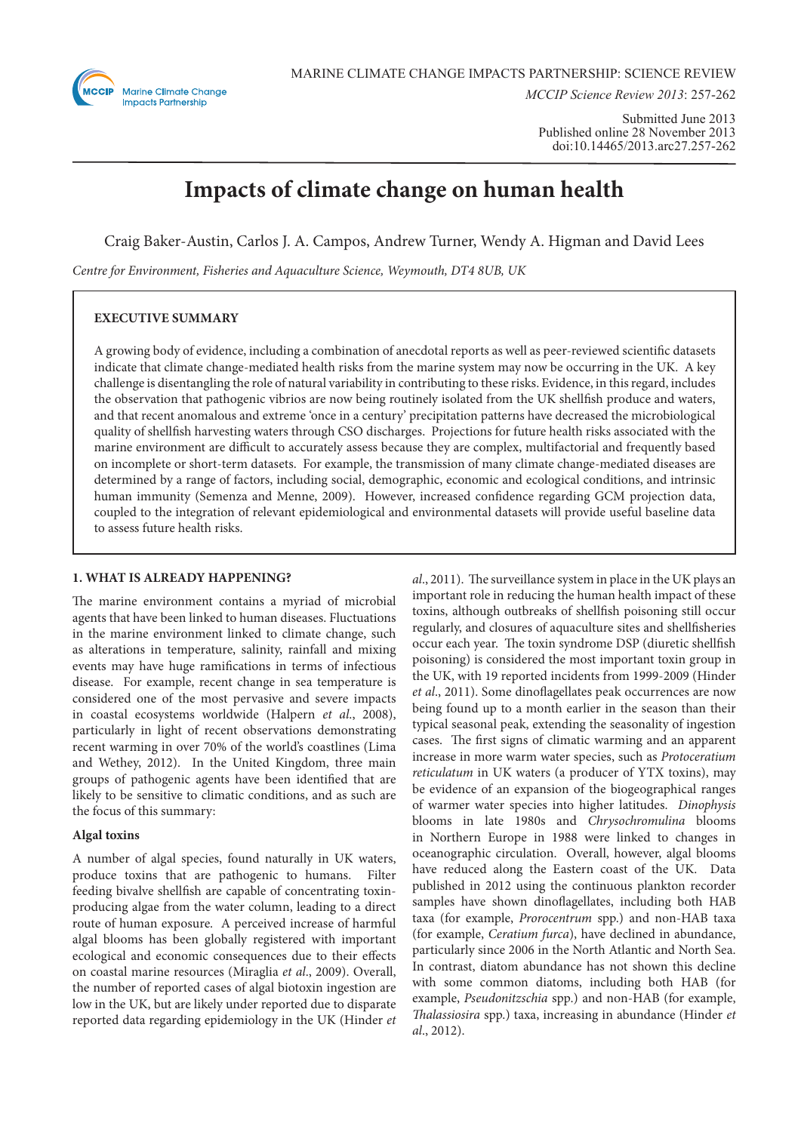

*MCCIP Science Review 2013*: 257-262

Submitted June 2013 Published online 28 November 2013 doi:10.14465/2013.arc27.257-262

# **Impacts of climate change on human health**

Craig Baker-Austin, Carlos J. A. Campos, Andrew Turner, Wendy A. Higman and David Lees

*Centre for Environment, Fisheries and Aquaculture Science, Weymouth, DT4 8UB, UK*

# **EXECUTIVE SUMMARY**

A growing body of evidence, including a combination of anecdotal reports as well as peer-reviewed scientific datasets indicate that climate change-mediated health risks from the marine system may now be occurring in the UK. A key challenge is disentangling the role of natural variability in contributing to these risks. Evidence, in this regard, includes the observation that pathogenic vibrios are now being routinely isolated from the UK shellfish produce and waters, and that recent anomalous and extreme 'once in a century' precipitation patterns have decreased the microbiological quality of shellfish harvesting waters through CSO discharges. Projections for future health risks associated with the marine environment are difficult to accurately assess because they are complex, multifactorial and frequently based on incomplete or short-term datasets. For example, the transmission of many climate change-mediated diseases are determined by a range of factors, including social, demographic, economic and ecological conditions, and intrinsic human immunity (Semenza and Menne, 2009). However, increased confidence regarding GCM projection data, coupled to the integration of relevant epidemiological and environmental datasets will provide useful baseline data to assess future health risks.

# **1. WHAT IS ALREADY HAPPENING?**

The marine environment contains a myriad of microbial agents that have been linked to human diseases. Fluctuations in the marine environment linked to climate change, such as alterations in temperature, salinity, rainfall and mixing events may have huge ramifications in terms of infectious disease. For example, recent change in sea temperature is considered one of the most pervasive and severe impacts in coastal ecosystems worldwide (Halpern *et al*., 2008), particularly in light of recent observations demonstrating recent warming in over 70% of the world's coastlines (Lima and Wethey, 2012). In the United Kingdom, three main groups of pathogenic agents have been identified that are likely to be sensitive to climatic conditions, and as such are the focus of this summary:

# **Algal toxins**

A number of algal species, found naturally in UK waters, produce toxins that are pathogenic to humans. Filter feeding bivalve shellfish are capable of concentrating toxinproducing algae from the water column, leading to a direct route of human exposure. A perceived increase of harmful algal blooms has been globally registered with important ecological and economic consequences due to their effects on coastal marine resources (Miraglia *et al*., 2009). Overall, the number of reported cases of algal biotoxin ingestion are low in the UK, but are likely under reported due to disparate reported data regarding epidemiology in the UK (Hinder *et*  *al*., 2011). The surveillance system in place in the UK plays an important role in reducing the human health impact of these toxins, although outbreaks of shellfish poisoning still occur regularly, and closures of aquaculture sites and shellfisheries occur each year. The toxin syndrome DSP (diuretic shellfish poisoning) is considered the most important toxin group in the UK, with 19 reported incidents from 1999-2009 (Hinder *et al*., 2011). Some dinoflagellates peak occurrences are now being found up to a month earlier in the season than their typical seasonal peak, extending the seasonality of ingestion cases. The first signs of climatic warming and an apparent increase in more warm water species, such as *Protoceratium reticulatum* in UK waters (a producer of YTX toxins), may be evidence of an expansion of the biogeographical ranges of warmer water species into higher latitudes. *Dinophysis*  blooms in late 1980s and *Chrysochromulina* blooms in Northern Europe in 1988 were linked to changes in oceanographic circulation. Overall, however, algal blooms have reduced along the Eastern coast of the UK. Data published in 2012 using the continuous plankton recorder samples have shown dinoflagellates, including both HAB taxa (for example, *Prorocentrum* spp.) and non-HAB taxa (for example, *Ceratium furca*), have declined in abundance, particularly since 2006 in the North Atlantic and North Sea. In contrast, diatom abundance has not shown this decline with some common diatoms, including both HAB (for example, *Pseudonitzschia* spp.) and non-HAB (for example, *Thalassiosira* spp.) taxa, increasing in abundance (Hinder *et al*., 2012).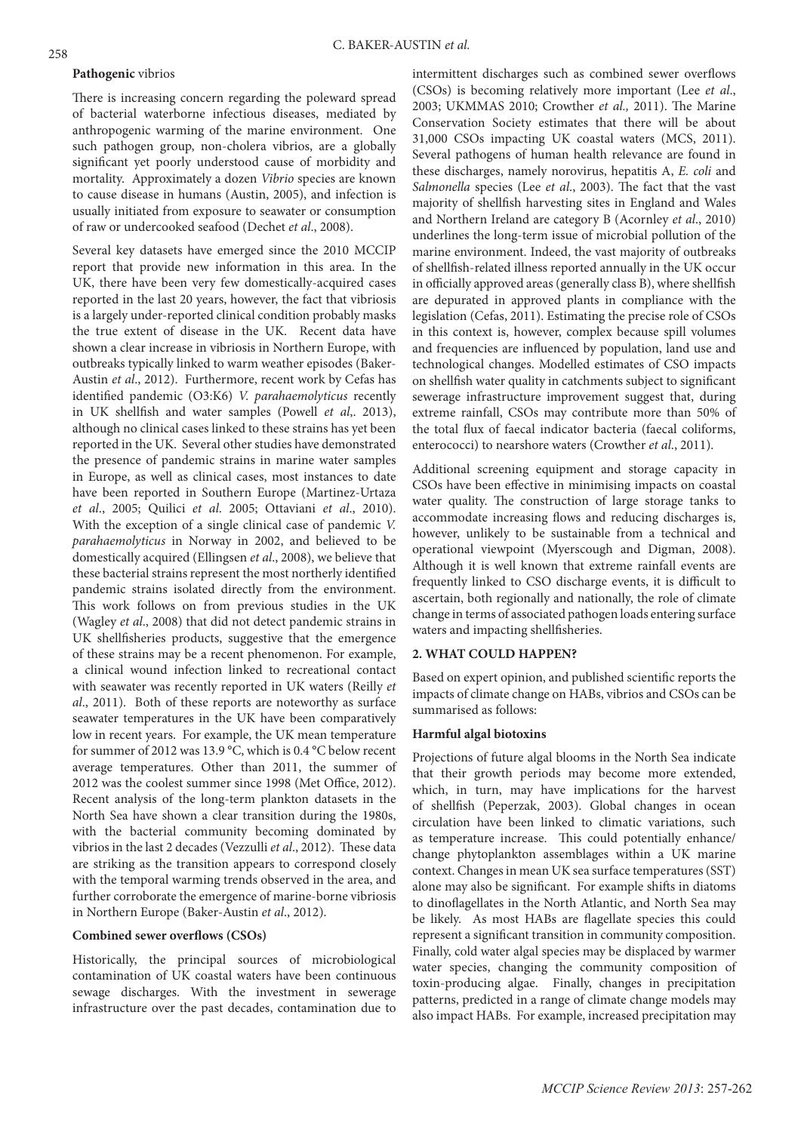#### **Pathogenic** vibrios

There is increasing concern regarding the poleward spread of bacterial waterborne infectious diseases, mediated by anthropogenic warming of the marine environment. One such pathogen group, non-cholera vibrios, are a globally significant yet poorly understood cause of morbidity and mortality. Approximately a dozen *Vibrio* species are known to cause disease in humans (Austin, 2005), and infection is usually initiated from exposure to seawater or consumption of raw or undercooked seafood (Dechet *et al*., 2008).

Several key datasets have emerged since the 2010 MCCIP report that provide new information in this area. In the UK, there have been very few domestically-acquired cases reported in the last 20 years, however, the fact that vibriosis is a largely under-reported clinical condition probably masks the true extent of disease in the UK. Recent data have shown a clear increase in vibriosis in Northern Europe, with outbreaks typically linked to warm weather episodes (Baker-Austin *et al*., 2012). Furthermore, recent work by Cefas has identified pandemic (O3:K6) *V. parahaemolyticus* recently in UK shellfish and water samples (Powell *et al*,. 2013), although no clinical cases linked to these strains has yet been reported in the UK. Several other studies have demonstrated the presence of pandemic strains in marine water samples in Europe, as well as clinical cases, most instances to date have been reported in Southern Europe (Martinez-Urtaza *et al*., 2005; Quilici *et al*. 2005; Ottaviani *et al*., 2010). With the exception of a single clinical case of pandemic *V. parahaemolyticus* in Norway in 2002, and believed to be domestically acquired (Ellingsen *et al*., 2008), we believe that these bacterial strains represent the most northerly identified pandemic strains isolated directly from the environment. This work follows on from previous studies in the UK (Wagley *et al*., 2008) that did not detect pandemic strains in UK shellfisheries products, suggestive that the emergence of these strains may be a recent phenomenon. For example, a clinical wound infection linked to recreational contact with seawater was recently reported in UK waters (Reilly *et al*., 2011). Both of these reports are noteworthy as surface seawater temperatures in the UK have been comparatively low in recent years. For example, the UK mean temperature for summer of 2012 was 13.9 °C, which is 0.4 °C below recent average temperatures. Other than 2011, the summer of 2012 was the coolest summer since 1998 (Met Office, 2012). Recent analysis of the long-term plankton datasets in the North Sea have shown a clear transition during the 1980s, with the bacterial community becoming dominated by vibrios in the last 2 decades (Vezzulli *et al*., 2012). These data are striking as the transition appears to correspond closely with the temporal warming trends observed in the area, and further corroborate the emergence of marine-borne vibriosis in Northern Europe (Baker-Austin *et al*., 2012).

## **Combined sewer overflows (CSOs)**

Historically, the principal sources of microbiological contamination of UK coastal waters have been continuous sewage discharges. With the investment in sewerage infrastructure over the past decades, contamination due to

intermittent discharges such as combined sewer overflows (CSOs) is becoming relatively more important (Lee *et al*., 2003; UKMMAS 2010; Crowther *et al.,* 2011). The Marine Conservation Society estimates that there will be about 31,000 CSOs impacting UK coastal waters (MCS, 2011). Several pathogens of human health relevance are found in these discharges, namely norovirus, hepatitis A, *E. coli* and *Salmonella* species (Lee *et al*., 2003). The fact that the vast majority of shellfish harvesting sites in England and Wales and Northern Ireland are category B (Acornley *et al*., 2010) underlines the long-term issue of microbial pollution of the marine environment. Indeed, the vast majority of outbreaks of shellfish-related illness reported annually in the UK occur in officially approved areas (generally class B), where shellfish are depurated in approved plants in compliance with the legislation (Cefas, 2011). Estimating the precise role of CSOs in this context is, however, complex because spill volumes and frequencies are influenced by population, land use and technological changes. Modelled estimates of CSO impacts on shellfish water quality in catchments subject to significant sewerage infrastructure improvement suggest that, during extreme rainfall, CSOs may contribute more than 50% of the total flux of faecal indicator bacteria (faecal coliforms, enterococci) to nearshore waters (Crowther *et al*., 2011).

Additional screening equipment and storage capacity in CSOs have been effective in minimising impacts on coastal water quality. The construction of large storage tanks to accommodate increasing flows and reducing discharges is, however, unlikely to be sustainable from a technical and operational viewpoint (Myerscough and Digman, 2008). Although it is well known that extreme rainfall events are frequently linked to CSO discharge events, it is difficult to ascertain, both regionally and nationally, the role of climate change in terms of associated pathogen loads entering surface waters and impacting shellfisheries.

### **2. WHAT COULD HAPPEN?**

Based on expert opinion, and published scientific reports the impacts of climate change on HABs, vibrios and CSOs can be summarised as follows:

#### **Harmful algal biotoxins**

Projections of future algal blooms in the North Sea indicate that their growth periods may become more extended, which, in turn, may have implications for the harvest of shellfish (Peperzak, 2003). Global changes in ocean circulation have been linked to climatic variations, such as temperature increase. This could potentially enhance/ change phytoplankton assemblages within a UK marine context. Changes in mean UK sea surface temperatures (SST) alone may also be significant. For example shifts in diatoms to dinoflagellates in the North Atlantic, and North Sea may be likely. As most HABs are flagellate species this could represent a significant transition in community composition. Finally, cold water algal species may be displaced by warmer water species, changing the community composition of toxin-producing algae. Finally, changes in precipitation patterns, predicted in a range of climate change models may also impact HABs. For example, increased precipitation may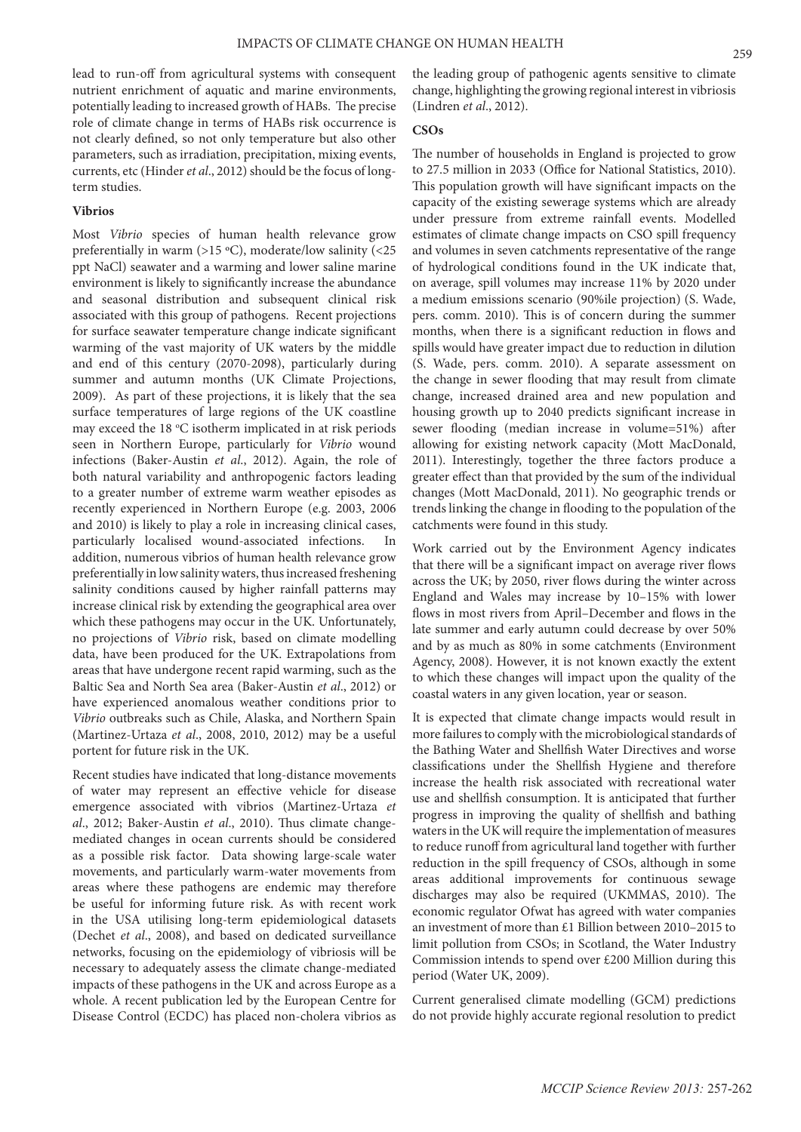lead to run-off from agricultural systems with consequent nutrient enrichment of aquatic and marine environments, potentially leading to increased growth of HABs. The precise role of climate change in terms of HABs risk occurrence is not clearly defined, so not only temperature but also other parameters, such as irradiation, precipitation, mixing events, currents, etc (Hinder *et al*., 2012) should be the focus of longterm studies.

#### **Vibrios**

Most *Vibrio* species of human health relevance grow preferentially in warm (>15 °C), moderate/low salinity (<25 ppt NaCl) seawater and a warming and lower saline marine environment is likely to significantly increase the abundance and seasonal distribution and subsequent clinical risk associated with this group of pathogens. Recent projections for surface seawater temperature change indicate significant warming of the vast majority of UK waters by the middle and end of this century (2070-2098), particularly during summer and autumn months (UK Climate Projections, 2009). As part of these projections, it is likely that the sea surface temperatures of large regions of the UK coastline may exceed the 18 °C isotherm implicated in at risk periods seen in Northern Europe, particularly for *Vibrio* wound infections (Baker-Austin *et al*., 2012). Again, the role of both natural variability and anthropogenic factors leading to a greater number of extreme warm weather episodes as recently experienced in Northern Europe (e.g. 2003, 2006 and 2010) is likely to play a role in increasing clinical cases, particularly localised wound-associated infections. In addition, numerous vibrios of human health relevance grow preferentially in low salinity waters, thus increased freshening salinity conditions caused by higher rainfall patterns may increase clinical risk by extending the geographical area over which these pathogens may occur in the UK. Unfortunately, no projections of *Vibrio* risk, based on climate modelling data, have been produced for the UK. Extrapolations from areas that have undergone recent rapid warming, such as the Baltic Sea and North Sea area (Baker-Austin *et al*., 2012) or have experienced anomalous weather conditions prior to *Vibrio* outbreaks such as Chile, Alaska, and Northern Spain (Martinez-Urtaza *et al*., 2008, 2010, 2012) may be a useful portent for future risk in the UK.

Recent studies have indicated that long-distance movements of water may represent an effective vehicle for disease emergence associated with vibrios (Martinez-Urtaza *et al*., 2012; Baker-Austin *et al*., 2010). Thus climate changemediated changes in ocean currents should be considered as a possible risk factor. Data showing large-scale water movements, and particularly warm-water movements from areas where these pathogens are endemic may therefore be useful for informing future risk. As with recent work in the USA utilising long-term epidemiological datasets (Dechet *et al*., 2008), and based on dedicated surveillance networks, focusing on the epidemiology of vibriosis will be necessary to adequately assess the climate change-mediated impacts of these pathogens in the UK and across Europe as a whole. A recent publication led by the European Centre for Disease Control (ECDC) has placed non-cholera vibrios as

the leading group of pathogenic agents sensitive to climate change, highlighting the growing regional interest in vibriosis (Lindren *et al*., 2012).

# **CSOs**

The number of households in England is projected to grow to 27.5 million in 2033 (Office for National Statistics, 2010). This population growth will have significant impacts on the capacity of the existing sewerage systems which are already under pressure from extreme rainfall events. Modelled estimates of climate change impacts on CSO spill frequency and volumes in seven catchments representative of the range of hydrological conditions found in the UK indicate that, on average, spill volumes may increase 11% by 2020 under a medium emissions scenario (90%ile projection) (S. Wade, pers. comm. 2010). This is of concern during the summer months, when there is a significant reduction in flows and spills would have greater impact due to reduction in dilution (S. Wade, pers. comm. 2010). A separate assessment on the change in sewer flooding that may result from climate change, increased drained area and new population and housing growth up to 2040 predicts significant increase in sewer flooding (median increase in volume=51%) after allowing for existing network capacity (Mott MacDonald, 2011). Interestingly, together the three factors produce a greater effect than that provided by the sum of the individual changes (Mott MacDonald, 2011). No geographic trends or trends linking the change in flooding to the population of the catchments were found in this study.

Work carried out by the Environment Agency indicates that there will be a significant impact on average river flows across the UK; by 2050, river flows during the winter across England and Wales may increase by 10–15% with lower flows in most rivers from April–December and flows in the late summer and early autumn could decrease by over 50% and by as much as 80% in some catchments (Environment Agency, 2008). However, it is not known exactly the extent to which these changes will impact upon the quality of the coastal waters in any given location, year or season.

It is expected that climate change impacts would result in more failures to comply with the microbiological standards of the Bathing Water and Shellfish Water Directives and worse classifications under the Shellfish Hygiene and therefore increase the health risk associated with recreational water use and shellfish consumption. It is anticipated that further progress in improving the quality of shellfish and bathing waters in the UK will require the implementation of measures to reduce runoff from agricultural land together with further reduction in the spill frequency of CSOs, although in some areas additional improvements for continuous sewage discharges may also be required (UKMMAS, 2010). The economic regulator Ofwat has agreed with water companies an investment of more than £1 Billion between 2010–2015 to limit pollution from CSOs; in Scotland, the Water Industry Commission intends to spend over £200 Million during this period (Water UK, 2009).

Current generalised climate modelling (GCM) predictions do not provide highly accurate regional resolution to predict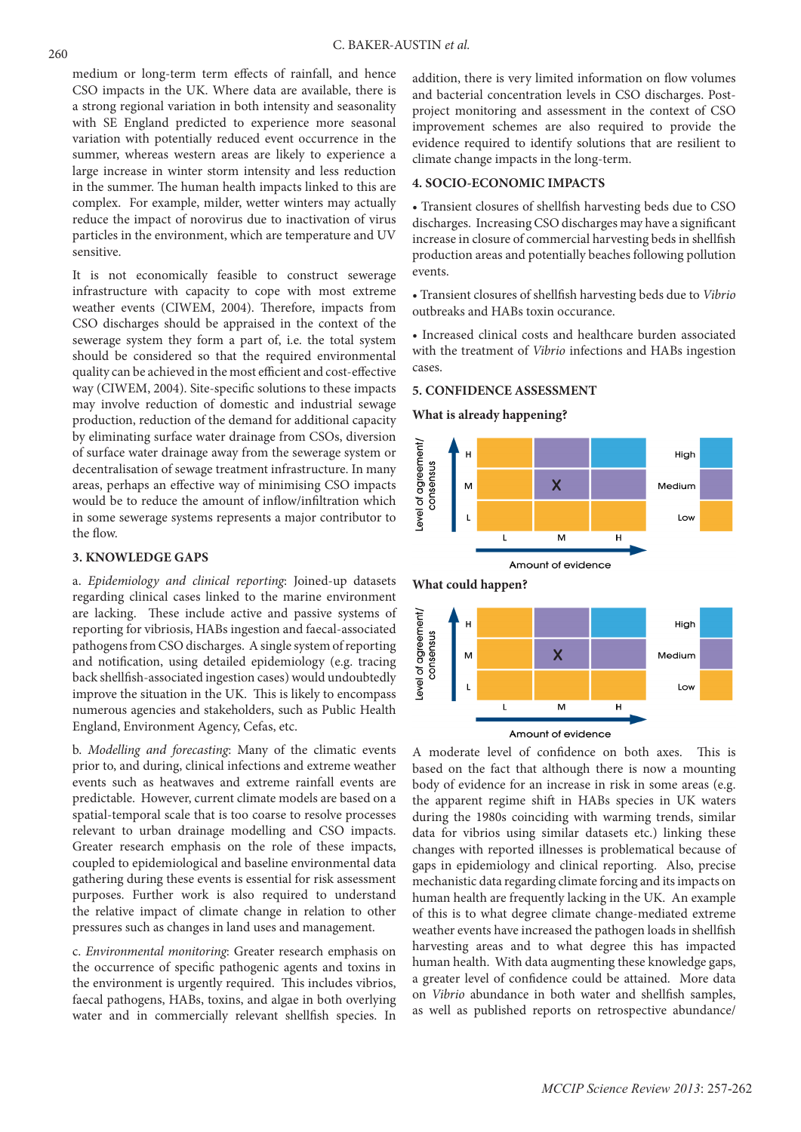medium or long-term term effects of rainfall, and hence CSO impacts in the UK. Where data are available, there is a strong regional variation in both intensity and seasonality with SE England predicted to experience more seasonal variation with potentially reduced event occurrence in the summer, whereas western areas are likely to experience a large increase in winter storm intensity and less reduction in the summer. The human health impacts linked to this are complex. For example, milder, wetter winters may actually reduce the impact of norovirus due to inactivation of virus particles in the environment, which are temperature and UV sensitive.

It is not economically feasible to construct sewerage infrastructure with capacity to cope with most extreme weather events (CIWEM, 2004). Therefore, impacts from CSO discharges should be appraised in the context of the sewerage system they form a part of, i.e. the total system should be considered so that the required environmental quality can be achieved in the most efficient and cost-effective way (CIWEM, 2004). Site-specific solutions to these impacts may involve reduction of domestic and industrial sewage production, reduction of the demand for additional capacity by eliminating surface water drainage from CSOs, diversion of surface water drainage away from the sewerage system or decentralisation of sewage treatment infrastructure. In many areas, perhaps an effective way of minimising CSO impacts would be to reduce the amount of inflow/infiltration which in some sewerage systems represents a major contributor to the flow.

## **3. KNOWLEDGE GAPS**

a. *Epidemiology and clinical reporting*: Joined-up datasets regarding clinical cases linked to the marine environment are lacking. These include active and passive systems of reporting for vibriosis, HABs ingestion and faecal-associated pathogens from CSO discharges. A single system of reporting and notification, using detailed epidemiology (e.g. tracing back shellfish-associated ingestion cases) would undoubtedly improve the situation in the UK. This is likely to encompass numerous agencies and stakeholders, such as Public Health England, Environment Agency, Cefas, etc.

b. *Modelling and forecasting*: Many of the climatic events prior to, and during, clinical infections and extreme weather events such as heatwaves and extreme rainfall events are predictable. However, current climate models are based on a spatial-temporal scale that is too coarse to resolve processes relevant to urban drainage modelling and CSO impacts. Greater research emphasis on the role of these impacts, coupled to epidemiological and baseline environmental data gathering during these events is essential for risk assessment purposes. Further work is also required to understand the relative impact of climate change in relation to other pressures such as changes in land uses and management.

c. *Environmental monitoring*: Greater research emphasis on the occurrence of specific pathogenic agents and toxins in the environment is urgently required. This includes vibrios, faecal pathogens, HABs, toxins, and algae in both overlying water and in commercially relevant shellfish species. In addition, there is very limited information on flow volumes and bacterial concentration levels in CSO discharges. Postproject monitoring and assessment in the context of CSO improvement schemes are also required to provide the evidence required to identify solutions that are resilient to climate change impacts in the long-term.

# **4. SOCIO-ECONOMIC IMPACTS**

• Transient closures of shellfish harvesting beds due to CSO discharges. Increasing CSO discharges may have a significant increase in closure of commercial harvesting beds in shellfish production areas and potentially beaches following pollution events.

• Transient closures of shellfish harvesting beds due to *Vibrio*  outbreaks and HABs toxin occurance.

• Increased clinical costs and healthcare burden associated with the treatment of *Vibrio* infections and HABs ingestion cases.

## **5. CONFIDENCE ASSESSMENT**

**What is already happening?** 



Amount of evidence

A moderate level of confidence on both axes. This is based on the fact that although there is now a mounting body of evidence for an increase in risk in some areas (e.g. the apparent regime shift in HABs species in UK waters during the 1980s coinciding with warming trends, similar data for vibrios using similar datasets etc.) linking these changes with reported illnesses is problematical because of gaps in epidemiology and clinical reporting. Also, precise mechanistic data regarding climate forcing and its impacts on human health are frequently lacking in the UK. An example of this is to what degree climate change-mediated extreme weather events have increased the pathogen loads in shellfish harvesting areas and to what degree this has impacted human health. With data augmenting these knowledge gaps, a greater level of confidence could be attained. More data on *Vibrio* abundance in both water and shellfish samples, as well as published reports on retrospective abundance/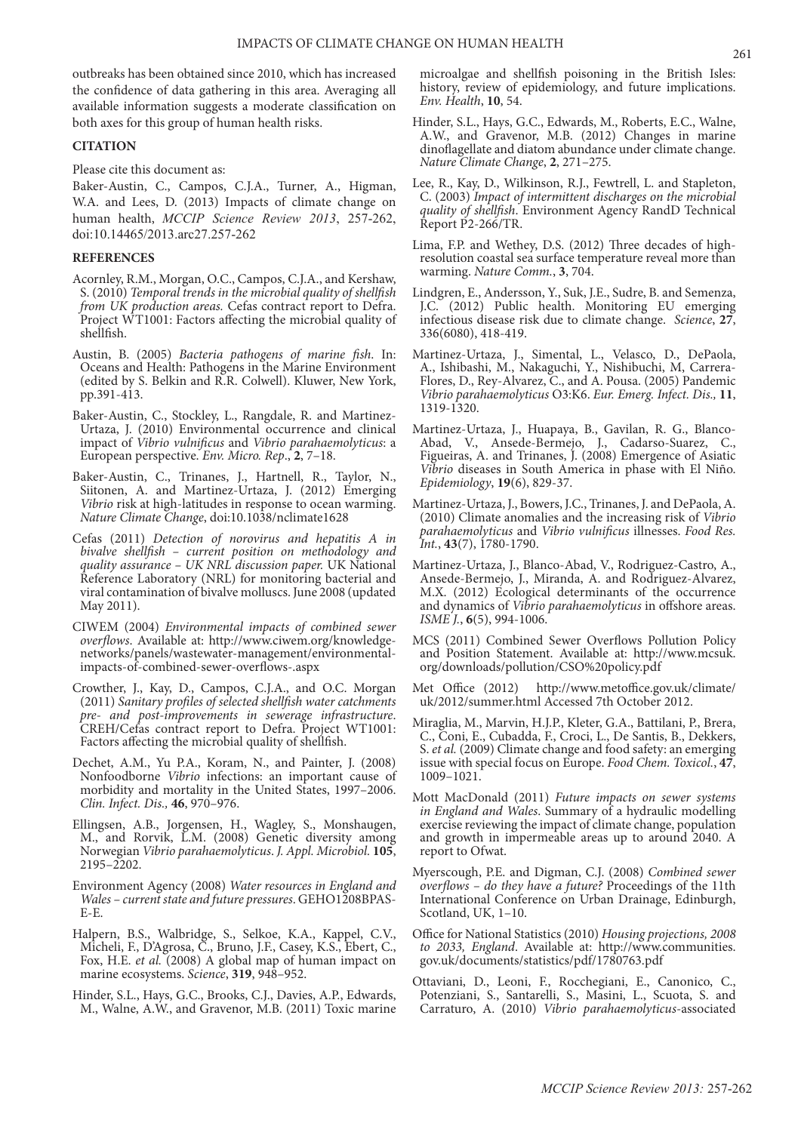outbreaks has been obtained since 2010, which has increased the confidence of data gathering in this area. Averaging all available information suggests a moderate classification on both axes for this group of human health risks.

## **CITATION**

Please cite this document as:

Baker-Austin, C., Campos, C.J.A., Turner, A., Higman, W.A. and Lees, D. (2013) Impacts of climate change on human health, *MCCIP Science Review 2013*, 257-262, doi:10.14465/2013.arc27.257-262

#### **REFERENCES**

- Acornley, R.M., Morgan, O.C., Campos, C.J.A., and Kershaw, S. (2010) *Temporal trends in the microbial quality of shellfish from UK production areas.* Cefas contract report to Defra. Project WT1001: Factors affecting the microbial quality of shellfish.
- Austin, B. (2005) *Bacteria pathogens of marine fish*. In: Oceans and Health: Pathogens in the Marine Environment (edited by S. Belkin and R.R. Colwell). Kluwer, New York, pp.391-413.
- Baker-Austin, C., Stockley, L., Rangdale, R. and Martinez-Urtaza, J. (2010) Environmental occurrence and clinical impact of *Vibrio vulnificus* and *Vibrio parahaemolyticus*: a European perspective. *Env. Micro. Rep*., **2**, 7–18.
- Baker-Austin, C., Trinanes, J., Hartnell, R., Taylor, N., Siitonen, A. and Martinez-Urtaza, J. (2012) Emerging *Vibrio* risk at high-latitudes in response to ocean warming. *Nature Climate Change*, doi:10.1038/nclimate1628
- Cefas (2011) *Detection of norovirus and hepatitis A in bivalve shellfish – current position on methodology and quality assurance – UK NRL discussion paper.* UK National Reference Laboratory (NRL) for monitoring bacterial and viral contamination of bivalve molluscs. June 2008 (updated May 2011).
- CIWEM (2004) *Environmental impacts of combined sewer overflows*. Available at: http://www.ciwem.org/knowledgenetworks/panels/wastewater-management/environmentalimpacts-of-combined-sewer-overflows-.aspx
- Crowther, J., Kay, D., Campos, C.J.A., and O.C. Morgan (2011) *Sanitary profiles of selected shellfish water catchments pre- and post-improvements in sewerage infrastructure*. CREH/Cefas contract report to Defra. Project WT1001: Factors affecting the microbial quality of shellfish.
- Dechet, A.M., Yu P.A., Koram, N., and Painter, J. (2008) Nonfoodborne *Vibrio* infections: an important cause of morbidity and mortality in the United States, 1997–2006. *Clin. Infect. Dis.,* **46**, 970–976.
- Ellingsen, A.B., Jorgensen, H., Wagley, S., Monshaugen, M., and Rorvik, L.M. (2008) Genetic diversity among Norwegian *Vibrio parahaemolyticus*. *J. Appl. Microbiol.* **105**, 2195–2202.
- Environment Agency (2008) *Water resources in England and Wales – current state and future pressures*. GEHO1208BPAS-E-E.
- Halpern, B.S., Walbridge, S., Selkoe, K.A., Kappel, C.V., Micheli, F., D'Agrosa, C., Bruno, J.F., Casey, K.S., Ebert, C., Fox, H.E. *et al.* (2008) A global map of human impact on marine ecosystems. *Science*, **319**, 948–952.
- Hinder, S.L., Hays, G.C., Brooks, C.J., Davies, A.P., Edwards, M., Walne, A.W., and Gravenor, M.B. (2011) Toxic marine

microalgae and shellfish poisoning in the British Isles: history, review of epidemiology, and future implications. *Env. Health*, **10**, 54.

- Hinder, S.L., Hays, G.C., Edwards, M., Roberts, E.C., Walne, A.W., and Gravenor, M.B. (2012) Changes in marine dinoflagellate and diatom abundance under climate change. *Nature Climate Change*, **2**, 271–275.
- Lee, R., Kay, D., Wilkinson, R.J., Fewtrell, L. and Stapleton, C. (2003) *Impact of intermittent discharges on the microbial quality of shellfish*. Environment Agency RandD Technical Report P2-266/TR.
- Lima, F.P. and Wethey, D.S. (2012) Three decades of highresolution coastal sea surface temperature reveal more than warming. *Nature Comm.*, **3**, 704.
- Lindgren, E., Andersson, Y., Suk, J.E., Sudre, B. and Semenza, J.C. (2012) Public health. Monitoring EU emerging infectious disease risk due to climate change. *Science*, **27**, 336(6080), 418-419.
- Martinez-Urtaza, J., Simental, L., Velasco, D., DePaola, A., Ishibashi, M., Nakaguchi, Y., Nishibuchi, M, Carrera-Flores, D., Rey-Alvarez, C., and A. Pousa. (2005) Pandemic *Vibrio parahaemolyticus* O3:K6. *Eur. Emerg. Infect. Dis.,* **11**, 1319-1320.
- Martinez-Urtaza, J., Huapaya, B., Gavilan, R. G., Blanco-Abad, V., Ansede-Bermejo, J., Cadarso-Suarez, C., Figueiras, A. and Trinanes, J. (2008) Emergence of Asiatic *Vibrio* diseases in South America in phase with El Niño. *Epidemiology*, **19**(6), 829-37.
- Martinez-Urtaza, J., Bowers, J.C., Trinanes, J. and DePaola, A. (2010) Climate anomalies and the increasing risk of *Vibrio parahaemolyticus* and *Vibrio vulnificus* illnesses. *Food Res. Int.*, **43**(7), 1780-1790.
- Martinez-Urtaza, J., Blanco-Abad, V., Rodriguez-Castro, A., Ansede-Bermejo, J., Miranda, A. and Rodriguez-Alvarez, M.X. (2012) Ecological determinants of the occurrence and dynamics of *Vibrio parahaemolyticus* in offshore areas. *ISME J.*, **6**(5), 994-1006.
- MCS (2011) Combined Sewer Overflows Pollution Policy and Position Statement. Available at: http://www.mcsuk. org/downloads/pollution/CSO%20policy.pdf
- Met Office (2012) http://www.metoffice.gov.uk/climate/ uk/2012/summer.html Accessed 7th October 2012.
- Miraglia, M., Marvin, H.J.P., Kleter, G.A., Battilani, P., Brera, C., Coni, E., Cubadda, F., Croci, L., De Santis, B., Dekkers, S. *et al.* (2009) Climate change and food safety: an emerging issue with special focus on Europe. *Food Chem. Toxicol.*, **47**, 1009–1021.
- Mott MacDonald (2011) *Future impacts on sewer systems in England and Wales*. Summary of a hydraulic modelling exercise reviewing the impact of climate change, population and growth in impermeable areas up to around 2040. A report to Ofwat.
- Myerscough, P.E. and Digman, C.J. (2008) *Combined sewer overflows – do they have a future?* Proceedings of the 11th International Conference on Urban Drainage, Edinburgh, Scotland, UK, 1–10.
- Office for National Statistics (2010) *Housing projections, 2008 to 2033, England*. Available at: http://www.communities. gov.uk/documents/statistics/pdf/1780763.pdf
- Ottaviani, D., Leoni, F., Rocchegiani, E., Canonico, C., Potenziani, S., Santarelli, S., Masini, L., Scuota, S. and Carraturo, A. (2010) *Vibrio parahaemolyticus*-associated